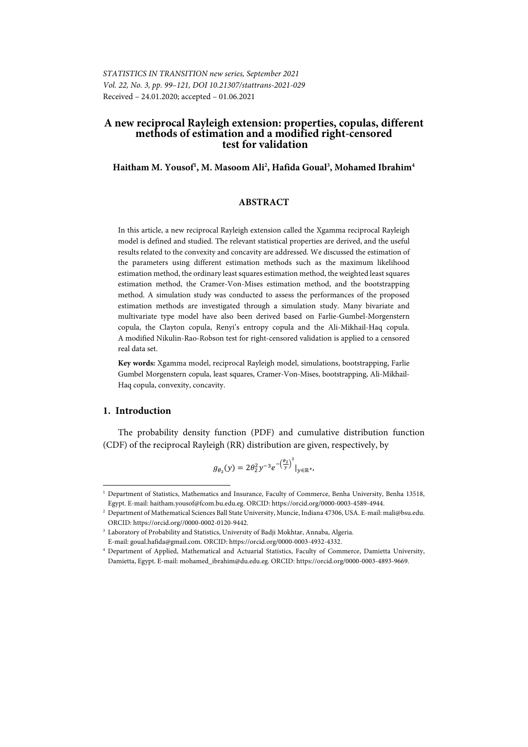# **A new reciprocal Rayleigh extension: properties, copulas, different methods of estimation and a modified right-censored test for validation**

# **Haitham M. Yousof1 , M. Masoom Ali2 , Hafida Goual3 , Mohamed Ibrahim4**

# **ABSTRACT**

In this article, a new reciprocal Rayleigh extension called the Xgamma reciprocal Rayleigh model is defined and studied. The relevant statistical properties are derived, and the useful results related to the convexity and concavity are addressed. We discussed the estimation of the parameters using different estimation methods such as the maximum likelihood estimation method, the ordinary least squares estimation method, the weighted least squares estimation method, the Cramer-Von-Mises estimation method, and the bootstrapping method. A simulation study was conducted to assess the performances of the proposed estimation methods are investigated through a simulation study. Many bivariate and multivariate type model have also been derived based on Farlie-Gumbel-Morgenstern copula, the Clayton copula, Renyi's entropy copula and the Ali-Mikhail-Haq copula. A modified Nikulin-Rao-Robson test for right-censored validation is applied to a censored real data set.

**Key words:** Xgamma model, reciprocal Rayleigh model, simulations, bootstrapping, Farlie Gumbel Morgenstern copula, least squares, Cramer-Von-Mises, bootstrapping, Ali-Mikhail-Haq copula, convexity, concavity.

# **1. Introduction**

l

The probability density function (PDF) and cumulative distribution function (CDF) of the reciprocal Rayleigh (RR) distribution are given, respectively, by

$$
g_{\theta_2}(y)=2\theta_2^2y^{-3}e^{-\left(\frac{\theta_2}{y}\right)^2}|_{y\in\mathbb{R}^+},
$$

<sup>1</sup> Department of Statistics, Mathematics and Insurance, Faculty of Commerce, Benha University, Benha 13518, Egypt. E-mail: haitham.yousof@fcom.bu.edu.eg. ORCID: https://orcid.org/0000-0003-4589-4944. 2

Department of Mathematical Sciences Ball State University, Muncie, Indiana 47306, USA. E-mail: mali@bsu.edu. ORCID: https://orcid.org//0000-0002-0120-9442. 3

<sup>&</sup>lt;sup>3</sup> Laboratory of Probability and Statistics, University of Badji Mokhtar, Annaba, Algeria. E-mail: goual.hafida@gmail.com. ORCID: https://orcid.org/0000-0003-4932-4332. 4

Department of Applied, Mathematical and Actuarial Statistics, Faculty of Commerce, Damietta University, Damietta, Egypt. E-mail: mohamed\_ibrahim@du.edu.eg. ORCID: https://orcid.org/0000-0003-4893-9669.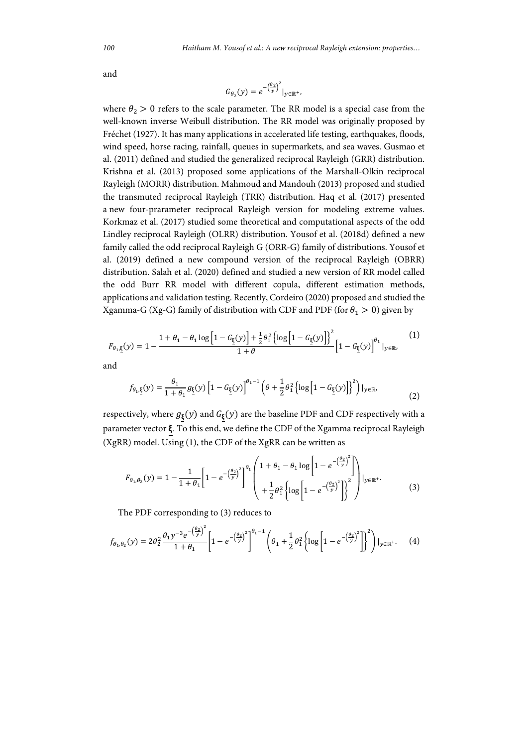and

$$
G_{\theta_2}(y) = e^{-\left(\frac{\theta_2}{y}\right)^2}|_{y \in \mathbb{R}^+}
$$

where  $\theta_2 > 0$  refers to the scale parameter. The RR model is a special case from the well-known inverse Weibull distribution. The RR model was originally proposed by Fréchet (1927). It has many applications in accelerated life testing, earthquakes, floods, wind speed, horse racing, rainfall, queues in supermarkets, and sea waves. Gusmao et al. (2011) defined and studied the generalized reciprocal Rayleigh (GRR) distribution. Krishna et al. (2013) proposed some applications of the Marshall-Olkin reciprocal Rayleigh (MORR) distribution. Mahmoud and Mandouh (2013) proposed and studied the transmuted reciprocal Rayleigh (TRR) distribution. Haq et al. (2017) presented a new four-prarameter reciprocal Rayleigh version for modeling extreme values. Korkmaz et al. (2017) studied some theoretical and computational aspects of the odd Lindley reciprocal Rayleigh (OLRR) distribution. Yousof et al. (2018d) defined a new family called the odd reciprocal Rayleigh G (ORR-G) family of distributions. Yousof et al. (2019) defined a new compound version of the reciprocal Rayleigh (OBRR) distribution. Salah et al. (2020) defined and studied a new version of RR model called the odd Burr RR model with different copula, different estimation methods, applications and validation testing. Recently, Cordeiro (2020) proposed and studied the Xgamma-G (Xg-G) family of distribution with CDF and PDF (for  $\theta_1 > 0$ ) given by

$$
F_{\theta_1, \underline{\xi}}(y) = 1 - \frac{1 + \theta_1 - \theta_1 \log \left[1 - G_{\underline{\xi}}(y)\right] + \frac{1}{2} \theta_1^2 \left\{ \log \left[1 - G_{\underline{\xi}}(y)\right] \right\}^2}{1 + \theta} \left[1 - G_{\underline{\xi}}(y)\right]^{\theta_1} \big|_{y \in \mathbb{R}},
$$
\n(1)

and

$$
f_{\theta_1,\underline{\xi}}(y) = \frac{\theta_1}{1+\theta_1} g_{\underline{\xi}}(y) \left[1 - G_{\underline{\xi}}(y)\right]^{\theta_1 - 1} \left(\theta + \frac{1}{2}\theta_1^2 \left\{\log\left[1 - G_{\underline{\xi}}(y)\right]\right\}^2\right)|_{y \in \mathbb{R}},\tag{2}
$$

respectively, where  $g_{\xi}(y)$  and  $G_{\xi}(y)$  are the baseline PDF and CDF respectively with a parameter vector  $\xi$ . To this end, we define the CDF of the Xgamma reciprocal Rayleigh (XgRR) model. Using (1), the CDF of the XgRR can be written as

$$
F_{\theta_1, \theta_2}(y) = 1 - \frac{1}{1 + \theta_1} \left[ 1 - e^{-\left(\frac{\theta_2}{y}\right)^2} \right]^{\theta_1} \left( \frac{1 + \theta_1 - \theta_1 \log\left[1 - e^{-\left(\frac{\theta_2}{y}\right)^2} \right]}{1 + \frac{1}{2} \theta_1^2 \left\{ \log\left[1 - e^{-\left(\frac{\theta_2}{y}\right)^2} \right] \right\}^2} \right) |_{y \in \mathbb{R}^+}. \tag{3}
$$

The PDF corresponding to (3) reduces to

$$
f_{\theta_1, \theta_2}(y) = 2\theta_2^2 \frac{\theta_1 y^{-3} e^{-\left(\frac{\theta_2}{y}\right)^2}}{1 + \theta_1} \left[1 - e^{-\left(\frac{\theta_2}{y}\right)^2}\right]^{\theta_1 - 1} \left(\theta_1 + \frac{1}{2}\theta_1^2 \left\{\log\left[1 - e^{-\left(\frac{\theta_2}{y}\right)^2}\right]\right\}^2\right)\big|_{y \in \mathbb{R}^+}.\tag{4}
$$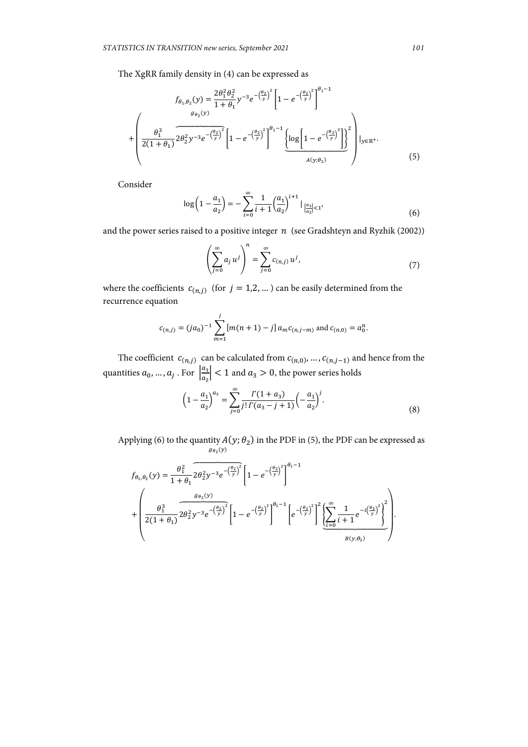The XgRR family density in (4) can be expressed as

$$
f_{\theta_1, \theta_2}(y) = \frac{2\theta_1^2 \theta_2^2}{1 + \theta_1} y^{-3} e^{-\left(\frac{\theta_2}{y}\right)^2} \left[1 - e^{-\left(\frac{\theta_2}{y}\right)^2}\right]^{\theta_1 - 1}
$$

$$
+ \left(\frac{\theta_1^3}{2(1 + \theta_1)} 2\theta_2^2 y^{-3} e^{-\left(\frac{\theta_2}{y}\right)^2} \left[1 - e^{-\left(\frac{\theta_2}{y}\right)^2}\right]^{\theta_1 - 1} \underbrace{\left\{\log\left[1 - e^{-\left(\frac{\theta_2}{y}\right)^2}\right]\right\}^2}_{A(y; \theta_2)}\right]_{y \in \mathbb{R}^+} (5)
$$

Consider

$$
\log\left(1-\frac{a_1}{a_2}\right) = -\sum_{i=0}^{\infty} \frac{1}{i+1} \left(\frac{a_1}{a_2}\right)^{i+1} |_{\frac{a_1}{a_2}| < 1'} \tag{6}
$$

and the power series raised to a positive integer  $n$  (see Gradshteyn and Ryzhik (2002))

$$
\left(\sum_{j=0}^{\infty} a_j u^j\right)^n = \sum_{j=0}^{\infty} c_{(n,j)} u^j,
$$
\n(7)

where the coefficients  $c_{(n,j)}$  (for  $j = 1,2,...$  ) can be easily determined from the recurrence equation

$$
c_{(n,j)} = (ja_0)^{-1} \sum_{m=1}^{j} [m(n+1) - j] a_m c_{(n,j-m)}
$$
 and  $c_{(n,0)} = a_0^n$ .

The coefficient  $c_{(n,j)}$  can be calculated from  $c_{(n,0)}$ , …,  $c_{(n,j-1)}$  and hence from the quantities  $a_0, ..., a_j$ . For  $\left| \frac{a_1}{a_2} \right|$  $\left|\frac{a_1}{a_2}\right|$  < 1 and  $a_3 > 0$ , the power series holds

$$
\left(1 - \frac{a_1}{a_2}\right)^{a_3} = \sum_{j=0}^{\infty} \frac{\Gamma(1 + a_3)}{j! \Gamma(a_3 - j + 1)} \left(-\frac{a_1}{a_2}\right)^j.
$$
\n(8)

Applying (6) to the quantity  $A(y; \theta_2)$  in the PDF in (5), the PDF can be expressed as  $g_{\theta_2}(y)$ 

$$
f_{\theta_1, \theta_2}(y) = \frac{\theta_1^2}{1 + \theta_1} 2\theta_2^2 y^{-3} e^{-\left(\frac{\theta_2}{y}\right)^2} \left[1 - e^{-\left(\frac{\theta_2}{y}\right)^2}\right]^{\theta_1 - 1}
$$
  
+ 
$$
\left(\frac{\theta_1^3}{2(1 + \theta_1)} 2\theta_2^2 y^{-3} e^{-\left(\frac{\theta_2}{y}\right)^2} \left[1 - e^{-\left(\frac{\theta_2}{y}\right)^2}\right]^{\theta_1 - 1} \left[e^{-\left(\frac{\theta_2}{y}\right)^2}\right]^2 \left[\sum_{i=0}^{\infty} \frac{1}{i+1} e^{-i\left(\frac{\theta_2}{y}\right)^2}\right]^2 \right].
$$
  

$$
B(y; \theta_2)
$$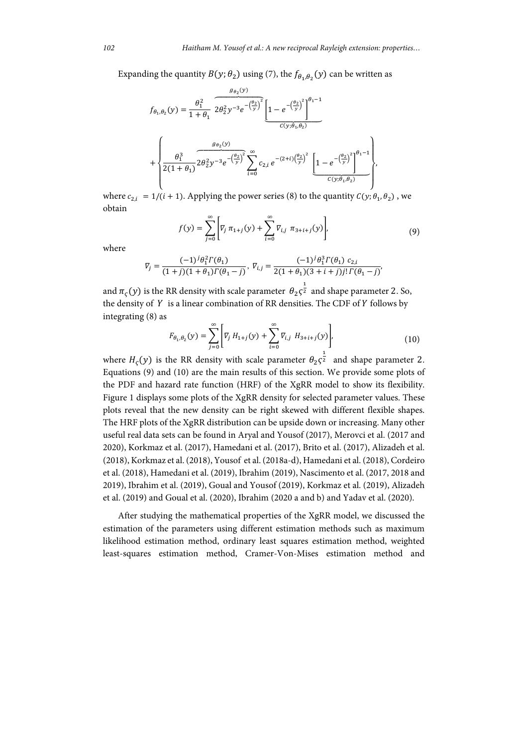Expanding the quantity  $B(y; \theta_2)$  using (7), the  $f_{\theta_1, \theta_2}(y)$  can be written as

$$
f_{\theta_1, \theta_2}(y) = \frac{\theta_1^2}{1 + \theta_1} \overbrace{2\theta_2^2 y^{-3} e^{-\left(\frac{\theta_2}{y}\right)^2} \left[1 - e^{-\left(\frac{\theta_2}{y}\right)^2}\right]^{\theta_1 - 1}}^{g_{\theta_2}(y)}
$$
  
+ 
$$
\left\{\frac{\theta_1^3}{2(1 + \theta_1)} 2\theta_2^2 y^{-3} e^{-\left(\frac{\theta_2}{y}\right)^2} \sum_{i=0}^{\infty} c_{2,i} e^{-\left(2+i\right)\left(\frac{\theta_2}{y}\right)^2} \left[1 - e^{-\left(\frac{\theta_2}{y}\right)^2}\right]^{\theta_1 - 1}}^{c_{1,0}(y; \theta_1, \theta_2)} \right\},
$$

where  $c_{2,i} = 1/(i + 1)$ . Applying the power series (8) to the quantity  $C(y; \theta_1, \theta_2)$ , we obtain

$$
f(y) = \sum_{j=0}^{\infty} \left[ \nabla_j \pi_{1+j}(y) + \sum_{i=0}^{\infty} \nabla_{i,j} \pi_{3+i+j}(y) \right],
$$
 (9)

where

$$
\nabla_j = \frac{(-1)^j \theta_1^2 \Gamma(\theta_1)}{(1+j)(1+\theta_1)\Gamma(\theta_1-j)}, \ \nabla_{i,j} = \frac{(-1)^j \theta_1^3 \Gamma(\theta_1) \ c_{2,i}}{2(1+\theta_1)(3+i+j)! \Gamma(\theta_1-j)}
$$

and  $\pi_{\varsigma}(y)$  is the RR density with scale parameter  $\theta_2\varsigma^{\frac{1}{2}}$  and shape parameter 2. So, the density of  $Y$  is a linear combination of RR densities. The CDF of  $Y$  follows by integrating (8) as

$$
F_{\theta_1, \theta_2}(y) = \sum_{j=0}^{\infty} \left[ V_j H_{1+j}(y) + \sum_{i=0}^{\infty} V_{i,j} H_{3+i+j}(y) \right],
$$
 (10)

where  $H_{\varsigma}(y)$  is the RR density with scale parameter  $\theta_2 \varsigma^{\frac{1}{2}}$  and shape parameter 2. Equations (9) and (10) are the main results of this section. We provide some plots of the PDF and hazard rate function (HRF) of the XgRR model to show its flexibility. Figure 1 displays some plots of the XgRR density for selected parameter values. These plots reveal that the new density can be right skewed with different flexible shapes. The HRF plots of the XgRR distribution can be upside down or increasing. Many other useful real data sets can be found in Aryal and Yousof (2017), Merovci et al. (2017 and 2020), Korkmaz et al. (2017), Hamedani et al. (2017), Brito et al. (2017), Alizadeh et al. (2018), Korkmaz et al. (2018), Yousof et al. (2018a-d), Hamedani et al. (2018), Cordeiro et al. (2018), Hamedani et al. (2019), Ibrahim (2019), Nascimento et al. (2017, 2018 and 2019), Ibrahim et al. (2019), Goual and Yousof (2019), Korkmaz et al. (2019), Alizadeh et al. (2019) and Goual et al. (2020), Ibrahim (2020 a and b) and Yadav et al. (2020).

After studying the mathematical properties of the XgRR model, we discussed the estimation of the parameters using different estimation methods such as maximum likelihood estimation method, ordinary least squares estimation method, weighted least-squares estimation method, Cramer-Von-Mises estimation method and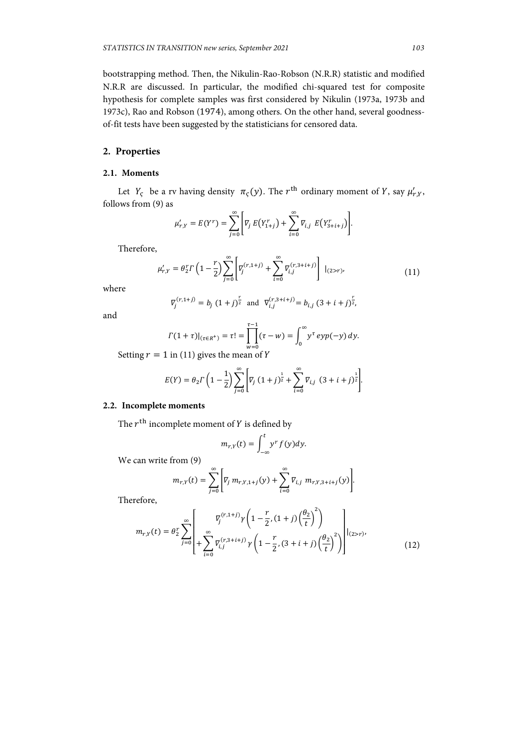bootstrapping method. Then, the Nikulin-Rao-Robson (N.R.R) statistic and modified N.R.R are discussed. In particular, the modified chi-squared test for composite hypothesis for complete samples was first considered by Nikulin (1973a, 1973b and 1973c), Rao and Robson (1974), among others. On the other hand, several goodnessof-fit tests have been suggested by the statisticians for censored data.

# **2. Properties**

## **2.1. Moments**

Let  $Y_{\varsigma}$  be a rv having density  $\pi_{\varsigma}(y)$ . The  $r^{\text{th}}$  ordinary moment of Y, say  $\mu'_{r,Y}$ , follows from (9) as

$$
\mu'_{r,Y} = E(Y^r) = \sum_{j=0}^{\infty} \Bigg[ \nabla_j E(Y^r_{1+j}) + \sum_{i=0}^{\infty} \nabla_{i,j} E(Y^r_{3+i+j}) \Bigg].
$$

Therefore,

$$
\mu'_{r,Y} = \theta_2^r \Gamma \left( 1 - \frac{r}{2} \right) \sum_{j=0}^{\infty} \left[ \overline{V}_j^{(r,1+j)} + \sum_{i=0}^{\infty} \overline{V}_{i,j}^{(r,3+i+j)} \right] |_{(2>r)}, \tag{11}
$$

where

$$
\overline{V}_j^{(r,1+j)} = b_j (1+j)^{\frac{r}{2}} \text{ and } \overline{V}_{i,j}^{(r,3+i+j)} = b_{i,j} (3+i+j)^{\frac{r}{2}}
$$

and

$$
\Gamma(1+\tau)|_{(\tau \in R^{+})} = \tau! = \prod_{w=0}^{\tau-1} (\tau - w) = \int_{0}^{\infty} y^{\tau} \exp(-y) \, dy.
$$

Setting  $r = 1$  in (11) gives the mean of Y

$$
E(Y) = \theta_2 \Gamma \left( 1 - \frac{1}{2} \right) \sum_{j=0}^{\infty} \left[ V_j \left( 1 + j \right)^{\frac{1}{2}} + \sum_{i=0}^{\infty} V_{i,j} \left( 3 + i + j \right)^{\frac{1}{2}} \right].
$$

# **2.2. Incomplete moments**

The  $r<sup>th</sup>$  incomplete moment of  $Y$  is defined by

$$
m_{r,Y}(t) = \int_{-\infty}^{t} y^r f(y) dy.
$$

We can write from (9)

$$
m_{r,Y}(t) = \sum_{j=0}^{\infty} \left[ \nabla_j m_{r,Y,1+j}(y) + \sum_{i=0}^{\infty} \nabla_{i,j} m_{r,Y,3+i+j}(y) \right].
$$

Therefore,

$$
m_{r,Y}(t) = \theta_2^r \sum_{j=0}^{\infty} \left[ \n\begin{array}{c} \n\nabla_j^{(r,1+j)} \gamma \left( 1 - \frac{r}{2}, (1+j) \left( \frac{\theta_2}{t} \right)^2 \right) \\ \n+ \sum_{i=0}^{\infty} \nabla_{i,j}^{(r,3+i+j)} \gamma \left( 1 - \frac{r}{2}, (3+i+j) \left( \frac{\theta_2}{t} \right)^2 \right) \n\end{array} \right] \n\begin{array}{l} (2 \times r), \tag{12} \n\end{array}
$$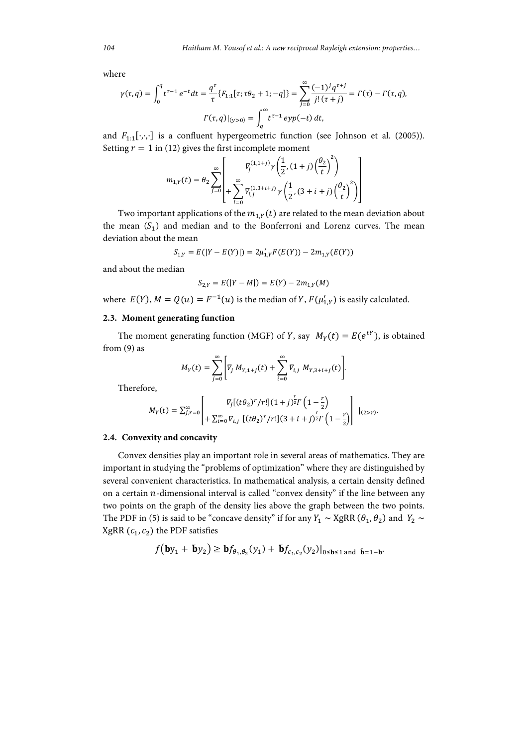where

$$
\gamma(\tau, q) = \int_0^q t^{\tau-1} e^{-t} dt = \frac{q^{\tau}}{\tau} \{F_{1:1}[\tau; \tau \theta_2 + 1; -q] \} = \sum_{j=0}^{\infty} \frac{(-1)^j q^{\tau+j}}{j! (\tau + j)} = \Gamma(\tau) - \Gamma(\tau, q),
$$

$$
\Gamma(\tau, q)|_{(y > 0)} = \int_q^{\infty} t^{\tau-1} \exp(-t) dt,
$$

and  $F_{1:1}[\cdot,\cdot,\cdot]$  is a confluent hypergeometric function (see Johnson et al. (2005)). Setting  $r = 1$  in (12) gives the first incomplete moment

$$
m_{1,Y}(t) = \theta_2 \sum_{j=0}^{\infty} \left[ \gamma_j^{(1,1+j)} \gamma \left( \frac{1}{2}, (1+j) \left( \frac{\theta_2}{t} \right)^2 \right) + \sum_{i=0}^{\infty} \overline{V}_{i,j}^{(1,3+i+j)} \gamma \left( \frac{1}{2}, (3+i+j) \left( \frac{\theta_2}{t} \right)^2 \right) \right]
$$

Two important applications of the  $m_{1Y}(t)$  are related to the mean deviation about the mean  $(S_1)$  and median and to the Bonferroni and Lorenz curves. The mean deviation about the mean

$$
S_{1,Y} = E(|Y - E(Y)|) = 2\mu'_{1,Y}F(E(Y)) - 2m_{1,Y}(E(Y))
$$

and about the median

$$
S_{2,Y} = E(|Y - M|) = E(Y) - 2m_{1,Y}(M)
$$

where  $E(Y)$ ,  $M = Q(u) = F^{-1}(u)$  is the median of Y,  $F(\mu'_{1,Y})$  is easily calculated.

#### **2.3. Moment generating function**

The moment generating function (MGF) of Y, say  $M_Y(t) = E(e^{tY})$ , is obtained from (9) as

$$
M_Y(t) = \sum_{j=0}^{\infty} \left[ V_j \ M_{Y,1+j}(t) + \sum_{i=0}^{\infty} V_{i,j} \ M_{Y,3+i+j}(t) \right].
$$

Therefore,

$$
M_Y(t) = \sum_{j,r=0}^{\infty} \left[ \nabla_j [(t\theta_2)^r/r!](1+j)^{\frac{r}{2}} \Gamma\left(1-\frac{r}{2}\right) \nabla_j \left[ (t\theta_2)^r/r! \right] (3+i+j)^{\frac{r}{2}} \Gamma\left(1-\frac{r}{2}\right) \right] \nvert_{(2>r)}.
$$

#### **2.4. Convexity and concavity**

Convex densities play an important role in several areas of mathematics. They are important in studying the "problems of optimization" where they are distinguished by several convenient characteristics. In mathematical analysis, a certain density defined on a certain  $n$ -dimensional interval is called "convex density" if the line between any two points on the graph of the density lies above the graph between the two points. The PDF in (5) is said to be "concave density" if for any  $Y_1 \sim \text{XgRR}(\theta_1, \theta_2)$  and  $Y_2 \sim$ XgRR  $(c_1, c_2)$  the PDF satisfies

$$
f(\mathbf{b}y_1 + \bar{\mathbf{b}}y_2) \geq \mathbf{b}f_{\theta_1, \theta_2}(y_1) + \bar{\mathbf{b}}f_{c_1, c_2}(y_2)|_{0 \leq \mathbf{b} \leq 1 \text{ and } \bar{\mathbf{b}} = 1 - \mathbf{b}}
$$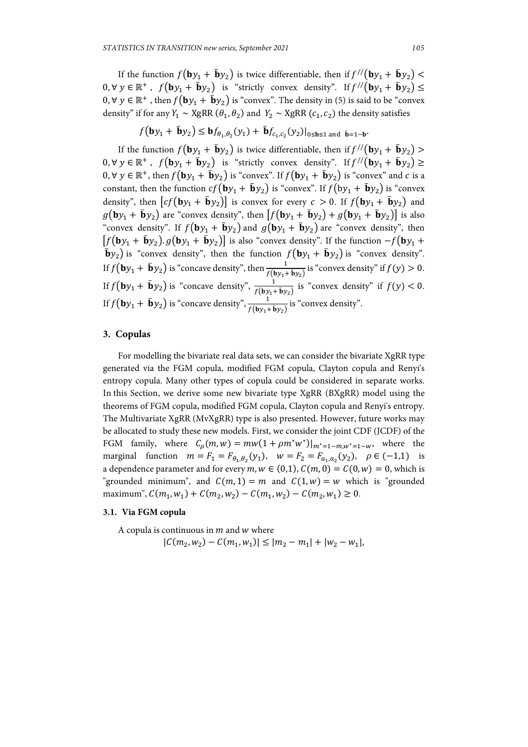If the function  $f({\bf{b}}y_1 + {\bf{\bar{b}}}y_2)$  is twice differentiable, then if  $f''({\bf{b}}y_1 + {\bf{\bar{b}}}y_2)$  <  $0, \forall y \in \mathbb{R}^+$ ,  $f(\mathbf{b}y_1 + \bar{\mathbf{b}}y_2)$  is "strictly convex density". If  $f''(\mathbf{b}y_1 + \bar{\mathbf{b}}y_2) \leq$ 0,  $\forall$   $y \in \mathbb{R}^+$ , then  $f(\mathbf{b}y_1 + \bar{\mathbf{b}}y_2)$  is "convex". The density in (5) is said to be "convex". density" if for any  $Y_1 \sim \text{XgRR}(\theta_1, \theta_2)$  and  $Y_2 \sim \text{XgRR}(c_1, c_2)$  the density satisfies

$$
f(\mathbf{b}y_1 + \bar{\mathbf{b}}y_2) \leq \mathbf{b}f_{\theta_1,\theta_2}(y_1) + \bar{\mathbf{b}}f_{c_1,c_2}(y_2)|_{0 \leq \mathbf{b} \leq 1 \text{ and } \bar{\mathbf{b}} = 1-\mathbf{b}}.
$$

If the function  $f({\bf{b}}y_1 + {\bf{\bar{b}}}y_2)$  is twice differentiable, then if  $f''({\bf{b}}y_1 + {\bf{\bar{b}}}y_2)$  $0, \forall y \in \mathbb{R}^+$ ,  $f(\mathbf{b}y_1 + \bar{\mathbf{b}}y_2)$  is "strictly convex density". If  $f''(\mathbf{b}y_1 + \bar{\mathbf{b}}y_2) \ge$  $0, \forall y \in \mathbb{R}^+$ , then  $f(\mathbf{b}y_1 + \bar{\mathbf{b}}y_2)$  is "convex". If  $f(\mathbf{b}y_1 + \bar{\mathbf{b}}y_2)$  is "convex" and c is a constant, then the function  $cf(by_1 + \bar{b}y_2)$  is "convex". If  $f(by_1 + \bar{b}y_2)$  is "convex". density", then  $[cf(by_1 + \bar{b}y_2)]$  is convex for every  $c > 0$ . If  $f(by_1 + \bar{b}y_2)$  and  $g(\mathbf{b}y_1 + \bar{\mathbf{b}}y_2)$  are "convex density", then  $[f(\mathbf{b}y_1 + \bar{\mathbf{b}}y_2) + g(\mathbf{b}y_1 + \bar{\mathbf{b}}y_2)]$  is also "convex density". If  $f(\mathbf{b}y_1 + \bar{\mathbf{b}}y_2)$  and  $g(\mathbf{b}y_1 + \bar{\mathbf{b}}y_2)$  are "convex density", then  $[f(\mathbf{b}y_1 + \bar{\mathbf{b}}y_2) \cdot g(\mathbf{b}y_1 + \bar{\mathbf{b}}y_2)]$  is also "convex density". If the function  $-f(\mathbf{b}y_1 + \bar{\mathbf{b}}y_2)$  $\bar{\mathbf{b}}y_2$ ) is "convex density", then the function  $f(\mathbf{b}y_1 + \bar{\mathbf{b}}y_2)$  is "convex density". If  $f(\mathbf{b}y_1 + \bar{\mathbf{b}}y_2)$  is "concave density", then  $\frac{1}{f(\mathbf{b}y_1 + \bar{\mathbf{b}}y_2)}$  is "convex density" if  $f(y) > 0$ . If  $f(\mathbf{b}y_1 + \bar{\mathbf{b}}y_2)$  is "concave density",  $\frac{1}{f(\mathbf{b}y_1 + \bar{\mathbf{b}}y_2)}$  is "convex density" if  $f(y) < 0$ . If  $f(\mathbf{b}y_1 + \bar{\mathbf{b}}y_2)$  is "concave density",  $\frac{1}{f(\mathbf{b}y_1 + \bar{\mathbf{b}}y_2)}$  is "convex density".

# **3. Copulas**

For modelling the bivariate real data sets, we can consider the bivariate XgRR type generated via the FGM copula, modified FGM copula, Clayton copula and Renyi's entropy copula. Many other types of copula could be considered in separate works. In this Section, we derive some new bivariate type XgRR (BXgRR) model using the theorems of FGM copula, modified FGM copula, Clayton copula and Renyi's entropy. The Multivariate XgRR (MvXgRR) type is also presented. However, future works may be allocated to study these new models. First, we consider the joint CDF (JCDF) of the FGM family, where  $C_0(m, w) = mw(1 + \rho m^*w^*)|_{m^*=1-mw^*=1-w}$ , where the marginal function  $m = F_1 = F_{\theta_1, \theta_2}(y_1)$ ,  $w = F_2 = F_{\alpha_1, \alpha_2}(y_2)$ ,  $\rho \in (-1, 1)$  is a dependence parameter and for every  $m, w \in (0,1), C(m, 0) = C(0, w) = 0$ , which is "grounded minimum", and  $C(m, 1) = m$  and  $C(1, w) = w$  which is "grounded" maximum",  $C(m_1, w_1) + C(m_2, w_2) - C(m_1, w_2) - C(m_2, w_1) \ge 0.$ 

#### **3.1. Via FGM copula**

A copula is continuous in  $m$  and  $w$  where

 $|C(m_2, w_2) - C(m_1, w_1)| \le |m_2 - m_1| + |w_2 - w_1|,$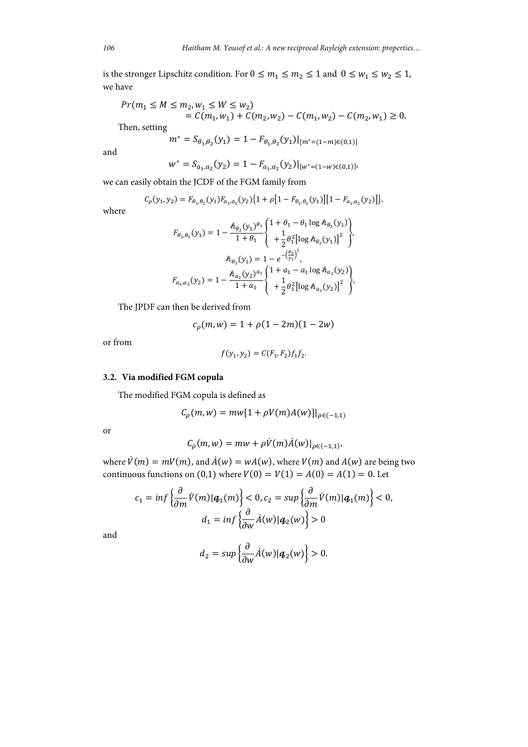is the stronger Lipschitz condition. For  $0 \le m_1 \le m_2 \le 1$  and  $0 \le w_1 \le w_2 \le 1$ , we have

$$
Pr(m_1 \le M \le m_2, w_1 \le W \le w_2)
$$
  
=  $C(m_1, w_1) + C(m_2, w_2) - C(m_1, w_2) - C(m_2, w_1) \ge 0.$ 

Then, setting

$$
m^* = S_{\theta_1, \theta_2}(y_1) = 1 - F_{\theta_1, \theta_2}(y_1)|_{[m^*=(1-m)\in(0,1)]}
$$

and

$$
w^* = S_{a_1, a_2}(y_2) = 1 - F_{a_1, a_2}(y_2)|_{[w^*=(1-w)\in(0,1)]}
$$

we can easily obtain the JCDF of the FGM family from

$$
C_{\rho}(y_1, y_2) = F_{\theta_1, \theta_2}(y_1) F_{a_1, a_2}(y_2) \{1 + \rho [1 - F_{\theta_1, \theta_2}(y_1)] [1 - F_{a_1, a_2}(y_2)]\},\
$$

where

$$
F_{\theta_1, \theta_2}(y_1) = 1 - \frac{\hbar_{\theta_2}(y_1)^{\theta_1}}{1 + \theta_1} \left\{ \begin{array}{l} 1 + \theta_1 - \theta_1 \log \hbar_{\theta_2}(y_1) \\ + \frac{1}{2} \theta_1^2 \left[ \log \hbar_{\theta_2}(y_1) \right]^2 \end{array} \right\},
$$

$$
\hbar_{\theta_2}(y_1) = 1 - e^{-\left(\frac{\theta_2}{y_1}\right)^2},
$$

$$
F_{a_1, a_2}(y_2) = 1 - \frac{\hbar_{a_2}(y_2)^{a_1}}{1 + a_1} \left\{ \begin{array}{l} 1 + a_1 - a_1 \log \hbar_{a_2}(y_2) \\ + \frac{1}{2} \theta_1^2 \left[ \log \hbar_{a_2}(y_2) \right]^2 \end{array} \right\}.
$$

The JPDF can then be derived from

$$
c_{\rho}(m, w) = 1 + \rho(1 - 2m)(1 - 2w)
$$

or from

$$
f(y_1, y_2) = C(F_1, F_2) f_1 f_2.
$$

## **3.2. Via modified FGM copula**

The modified FGM copula is defined as

$$
C_{\rho}(m, w) = mw[1 + \rho V(m)A(w)]|_{\rho \in (-1, 1)}
$$

or

$$
C_{\rho}(m, w) = mw + \rho \dot{V}(m)\dot{A}(w)|_{\rho \in (-1,1)},
$$

where  $\dot{V}(m) = mV(m)$ , and  $\dot{A}(w) = wA(w)$ , where  $V(m)$  and  $A(w)$  are being two continuous functions on (0,1) where  $V(0) = V(1) = A(0) = A(1) = 0$ . Let

$$
c_1 = \inf \left\{ \frac{\partial}{\partial m} \dot{V}(m) | \mathbf{q}_1(m) \right\} < 0, \quad c_2 = \sup \left\{ \frac{\partial}{\partial m} \dot{V}(m) | \mathbf{q}_1(m) \right\} < 0, \quad d_1 = \inf \left\{ \frac{\partial}{\partial w} \dot{A}(w) | \mathbf{q}_2(w) \right\} > 0
$$

and

$$
d_2 = \sup \left\{ \frac{\partial}{\partial w} \dot{A}(w) | \mathbf{q}_2(w) \right\} > 0.
$$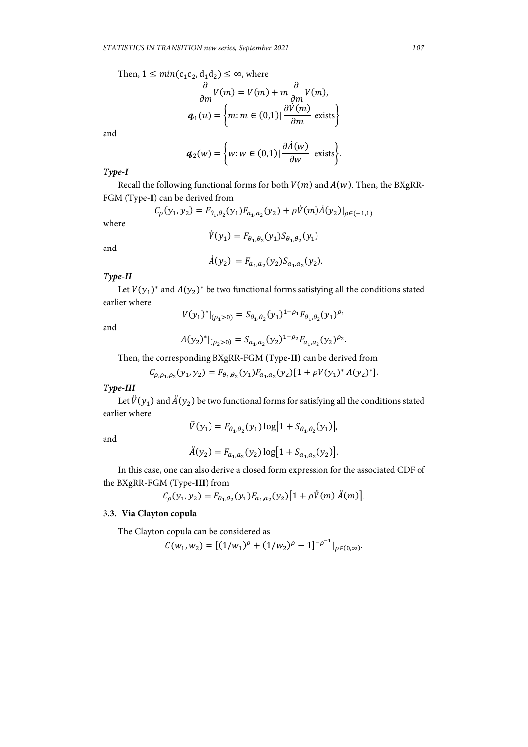Then,  $1 \leq min(c_1c_2, d_1d_2) \leq \infty$ , where

$$
\frac{\partial}{\partial m}V(m) = V(m) + m \frac{\partial}{\partial m}V(m),
$$
  

$$
\boldsymbol{q}_1(u) = \left\{ m : m \in (0,1) \mid \frac{\partial V(m)}{\partial m} \text{ exists} \right\}
$$

and

$$
\boldsymbol{q}_2(w) = \bigg\{ w : w \in (0,1) | \frac{\partial \dot{A}(w)}{\partial w} \text{ exists} \bigg\}.
$$

# *Type-I*

Recall the following functional forms for both  $V(m)$  and  $A(w)$ . Then, the BXgRR-FGM (Type-**I**) can be derived from

$$
C_{\rho}(y_1, y_2) = F_{\theta_1, \theta_2}(y_1) F_{a_1, a_2}(y_2) + \rho \dot{V}(m) \dot{A}(y_2)|_{\rho \in (-1, 1)}
$$

where

$$
\dot{V}(y_1) = F_{\theta_1, \theta_2}(y_1) S_{\theta_1, \theta_2}(y_1)
$$

and

$$
\dot{A}(y_2) = F_{a_1, a_2}(y_2) S_{a_1, a_2}(y_2).
$$

# *Type-II*

Let  $V(y_1)$ <sup>∗</sup> and  $A(y_2)$ <sup>∗</sup> be two functional forms satisfying all the conditions stated earlier where

$$
\quad \text{and} \quad
$$

$$
V(y_1)^*|_{(\rho_1>0)}=S_{\theta_1,\theta_2}(y_1)^{1-\rho_1}F_{\theta_1,\theta_2}(y_1)^{\rho_1}
$$

$$
A(y_2)^*|_{(\rho_2>0)} = S_{a_1,a_2}(y_2)^{1-\rho_2} F_{a_1,a_2}(y_2)^{\rho_2}.
$$

Then, the corresponding BXgRR-FGM **(**Type**-II)** can be derived from

$$
C_{\rho,\rho_1,\rho_2}(y_1,y_2) = F_{\theta_1,\theta_2}(y_1)F_{a_1,a_2}(y_2)[1 + \rho V(y_1)^* A(y_2)^*].
$$

*Type-III* 

Let  $\ddot{V}(y_1)$  and  $\ddot{A}(y_2)$  be two functional forms for satisfying all the conditions stated earlier where

$$
\ddot{V}(y_1) = F_{\theta_1, \theta_2}(y_1) \log[1 + S_{\theta_1, \theta_2}(y_1)],
$$

and

$$
\ddot{A}(y_2) = F_{a_1, a_2}(y_2) \log[1 + S_{a_1, a_2}(y_2)].
$$

In this case, one can also derive a closed form expression for the associated CDF of the BXgRR-FGM (Type-**III**) from

$$
C_{\rho}(y_1, y_2) = F_{\theta_1, \theta_2}(y_1) F_{a_1, a_2}(y_2) [1 + \rho \ddot{V}(m) \ddot{A}(m)].
$$

## **3.3. Via Clayton copula**

The Clayton copula can be considered as

$$
C(w_1, w_2) = [(1/w_1)^{\rho} + (1/w_2)^{\rho} - 1]^{-\rho^{-1}}|_{\rho \in (0, \infty)}.
$$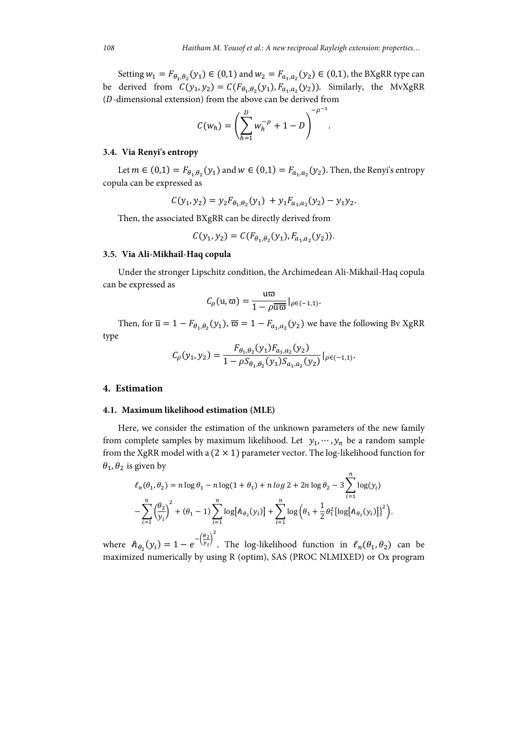.

Setting  $w_1 = F_{\theta_1, \theta_2}(y_1) \in (0, 1)$  and  $w_2 = F_{\alpha_1, \alpha_2}(y_2) \in (0, 1)$ , the BXgRR type can be derived from  $C(y_1, y_2) = C(F_{\theta_1, \theta_2}(y_1), F_{\alpha_1, \alpha_2}(y_2))$ . Similarly, the MvXgRR  $(D$ -dimensional extension) from the above can be derived from

$$
C(w_h) = \left(\sum_{h=1}^{D} w_h^{-\rho} + 1 - D\right)^{-\rho^{-1}}
$$

#### **3.4. Via Renyi's entropy**

Let  $m \in (0,1) = F_{\theta_1,\theta_2}(y_1)$  and  $w \in (0,1) = F_{a_1,a_2}(y_2)$ . Then, the Renyi's entropy copula can be expressed as

$$
C(y_1, y_2) = y_2 F_{\theta_1, \theta_2}(y_1) + y_1 F_{a_1, a_2}(y_2) - y_1 y_2.
$$

Then, the associated BXgRR can be directly derived from

$$
C(y_1, y_2) = C(F_{\theta_1, \theta_2}(y_1), F_{a_1, a_2}(y_2)).
$$

### **3.5. Via Ali-Mikhail-Haq copula**

Under the stronger Lipschitz condition, the Archimedean Ali-Mikhail-Haq copula can be expressed as

$$
C_{\rho}(\mathbf{u},\mathbf{\overline{\omega}})=\frac{\mathbf{u}\mathbf{\overline{\omega}}}{1-\rho\overline{\mathbf{u}\mathbf{\overline{\omega}}}}|_{\rho\in(-1,1)}.
$$

Then, for  $\overline{u} = 1 - F_{\theta_1, \theta_2}(y_1), \overline{\omega} = 1 - F_{\alpha_1, \alpha_2}(y_2)$  we have the following Bv XgRR type

$$
C_{\rho}(y_1, y_2) = \frac{F_{\theta_1, \theta_2}(y_1) F_{a_1, a_2}(y_2)}{1 - \rho S_{\theta_1, \theta_2}(y_1) S_{a_1, a_2}(y_2)}\big|_{\rho \in (-1, 1)}.
$$

#### **4. Estimation**

#### **4.1. Maximum likelihood estimation (MLE)**

Here, we consider the estimation of the unknown parameters of the new family from complete samples by maximum likelihood. Let  $y_1, \dots, y_n$  be a random sample from the XgRR model with a  $(2 \times 1)$  parameter vector. The log-likelihood function for  $\theta_1$ ,  $\theta_2$  is given by

$$
\ell_n(\theta_1, \theta_2) = n \log \theta_1 - n \log(1 + \theta_1) + n \log 2 + 2n \log \theta_2 - 3 \sum_{i=1}^n \log(y_i)
$$

$$
- \sum_{i=1}^n \left(\frac{\theta_2}{y_i}\right)^2 + (\theta_1 - 1) \sum_{i=1}^n \log [\hat{h}_{\theta_2}(y_i)] + \sum_{i=1}^n \log \left(\theta_1 + \frac{1}{2}\theta_1^2 {\log [\hat{h}_{\theta_2}(y_i)]}\right)^2.
$$

where  $h_{\theta_2}(y_i) = 1 - e^{-\left(\frac{\theta_2}{y_i}\right)^2}$ . The log-likelihood function in  $\ell_n(\theta_1, \theta_2)$  can be maximized numerically by using R (optim), SAS (PROC NLMIXED) or Ox program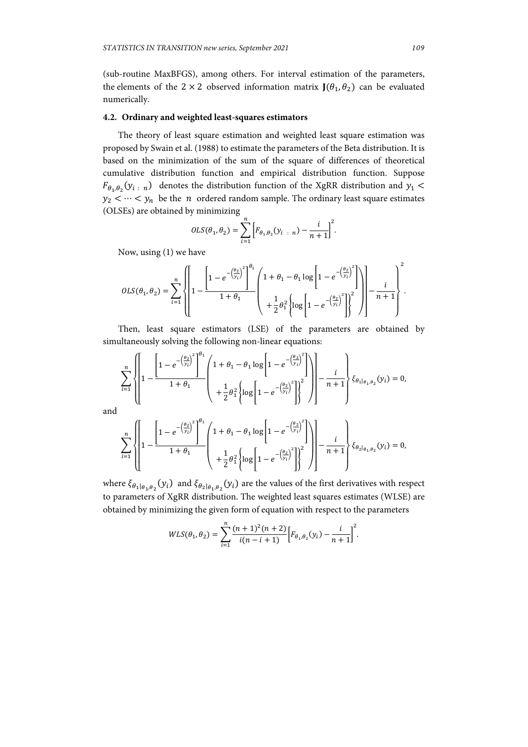(sub-routine MaxBFGS), among others. For interval estimation of the parameters, the elements of the 2  $\times$  2 observed information matrix  $J(\theta_1, \theta_2)$  can be evaluated numerically.

# **4.2. Ordinary and weighted least-squares estimators**

The theory of least square estimation and weighted least square estimation was proposed by Swain et al. (1988) to estimate the parameters of the Beta distribution. It is based on the minimization of the sum of the square of differences of theoretical cumulative distribution function and empirical distribution function. Suppose  $F_{\theta_1,\theta_2}(y_{i+n})$  denotes the distribution function of the XgRR distribution and  $y_1$  $y_2 < \cdots < y_n$  be the *n* ordered random sample. The ordinary least square estimates (OLSEs) are obtained by minimizing

$$
OLS(\theta_1, \theta_2) = \sum_{i=1}^{n} \left[ F_{\theta_1, \theta_2}(y_{i \dots n}) - \frac{i}{n+1} \right]^2.
$$

Now, using (1) we have

$$
OLS(\theta_1, \theta_2) = \sum_{i=1}^{n} \left\{ \left[ 1 - \frac{\left[ 1 - e^{-\left(\frac{\theta_2}{y_i}\right)^2} \right]^{\theta_1}}{1 + \theta_1} \left( 1 + \theta_1 - \theta_1 \log \left[ 1 - e^{-\left(\frac{\theta_2}{y_i}\right)^2} \right] \right) \right] - \frac{i}{n+1} \right\}^2.
$$

Then, least square estimators (LSE) of the parameters are obtained by simultaneously solving the following non-linear equations:

$$
\sum_{i=1}^{n} \left\{ \left[ 1 - \frac{\left[ 1 - e^{-\left(\frac{\theta_{2}}{y_{i}}\right)^{2}} \right]^{\theta_{1}}}{1 + \theta_{1}} \left( 1 + \theta_{1} - \theta_{1} \log \left[ 1 - e^{-\left(\frac{\theta_{2}}{y_{i}}\right)^{2}} \right] \right) \right] - \frac{i}{n+1} \right\} \xi_{\theta_{1}|\theta_{1},\theta_{2}}(y_{i}) = 0,
$$

and

$$
\sum_{i=1}^{n} \left\{ \left[ 1 - \frac{\left[ 1 - e^{-\left(\frac{\theta_{2}}{y_{i}}\right)^{2}} \right]^{\theta_{1}}}{1 + \theta_{1}} \left( 1 + \theta_{1} - \theta_{1} \log \left[ 1 - e^{-\left(\frac{\theta_{2}}{y_{i}}\right)^{2}} \right] \right) \right] - \frac{i}{n+1} \right\} \xi_{\theta_{2}|\theta_{1},\theta_{2}}(y_{i}) = 0,
$$

where  $\xi_{\theta_1|\theta_1,\theta_2}(y_i)$  and  $\xi_{\theta_2|\theta_1,\theta_2}(y_i)$  are the values of the first derivatives with respect to parameters of XgRR distribution. The weighted least squares estimates (WLSE) are obtained by minimizing the given form of equation with respect to the parameters

$$
WLS(\theta_1, \theta_2) = \sum_{i=1}^n \frac{(n+1)^2(n+2)}{i(n-i+1)} \Big[ F_{\theta_1, \theta_2}(y_i) - \frac{i}{n+1} \Big]^2.
$$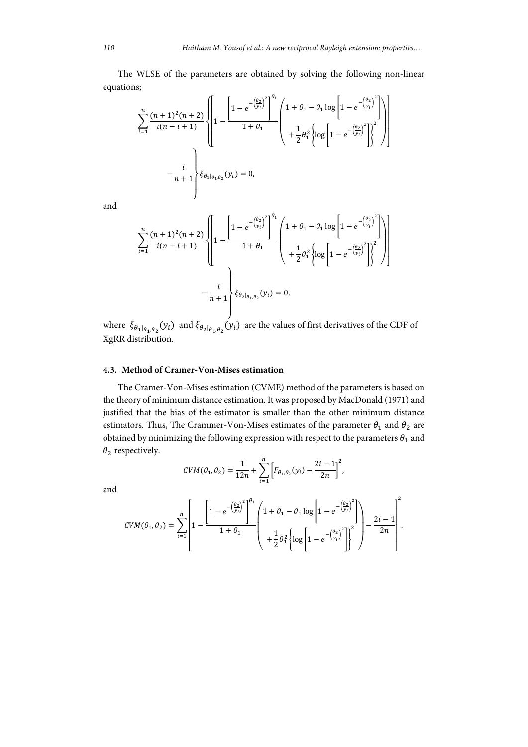The WLSE of the parameters are obtained by solving the following non-linear equations;

$$
\sum_{i=1}^{n} \frac{(n+1)^{2}(n+2)}{i(n-i+1)} \left\{ \left[ 1 - \frac{\left[ 1 - e^{-\left(\frac{\theta_{2}}{y_{i}}\right)^{2}} \right]^{\theta_{1}}}{1 + \theta_{1}} \left( 1 + \theta_{1} - \theta_{1} \log \left[ 1 - e^{-\left(\frac{\theta_{2}}{y_{i}}\right)^{2}} \right] \right) \right] - \frac{i}{n+1} \right\} \xi_{\theta_{1}|\theta_{1},\theta_{2}}(y_{i}) = 0,
$$

and

$$
\sum_{i=1}^{n} \frac{(n+1)^{2}(n+2)}{i(n-i+1)} \left\{ 1 - e^{-\left(\frac{\theta_{2}}{y_{i}}\right)^{2}} \right\}^{0} \left( 1 + \theta_{1} - \theta_{1} \log \left[ 1 - e^{-\left(\frac{\theta_{2}}{y_{i}}\right)^{2}} \right] \right) - \frac{i}{n+1} \left\} \xi_{\theta_{2} | \theta_{1}, \theta_{2}}(y_{i}) = 0,
$$

where  $\xi_{\theta_1|\theta_1,\theta_2}(y_i)$  and  $\xi_{\theta_2|\theta_1,\theta_2}(y_i)$  are the values of first derivatives of the CDF of XgRR distribution.

## **4.3. Method of Cramer-Von-Mises estimation**

The Cramer-Von-Mises estimation (CVME) method of the parameters is based on the theory of minimum distance estimation. It was proposed by MacDonald (1971) and justified that the bias of the estimator is smaller than the other minimum distance estimators. Thus, The Crammer-Von-Mises estimates of the parameter  $\theta_1$  and  $\theta_2$  are obtained by minimizing the following expression with respect to the parameters  $\theta_1$  and  $\theta_2$  respectively.

 $CVM(\theta_1, \theta_2) = \frac{1}{12n} + \sum_{i=1}^{n} \left[ F_{\theta_1, \theta_2}(y_i) - \frac{2i-1}{2n} \right]$ 

 $i=1$ 

 $\frac{n}{2}$   $\frac{n}{12}$ 

,

and

$$
CVM(\theta_1, \theta_2) = \sum_{i=1}^n \left[ 1 - \frac{\left[1 - e^{-\left(\frac{\theta_2}{y_i}\right)^2}\right]^{\theta_1}}{1 + \theta_1} \left(1 + \theta_1 - \theta_1 \log \left[1 - e^{-\left(\frac{\theta_2}{y_i}\right)^2}\right]\right) - \frac{2i - 1}{2n} \right]^2
$$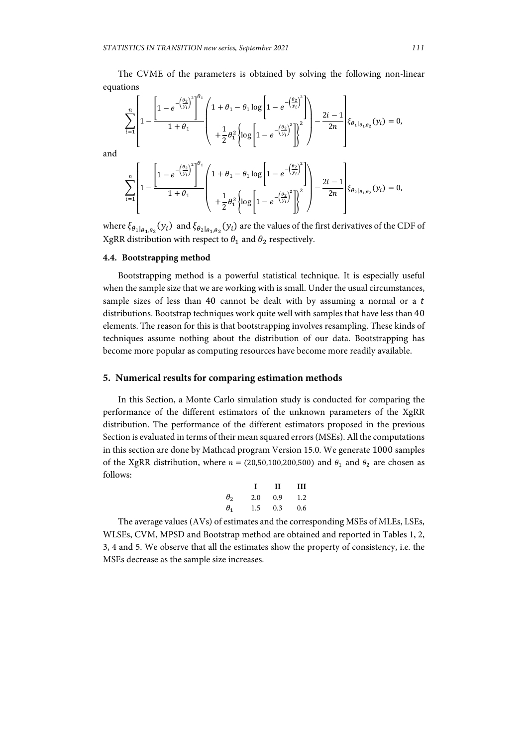The CVME of the parameters is obtained by solving the following non-linear equations

$$
\sum_{i=1}^{n} \left[ 1 - \frac{\left[ 1 - e^{-\left(\frac{\theta_2}{y_i}\right)^2} \right]^{\theta_1}}{1 + \theta_1} \left( 1 + \theta_1 - \theta_1 \log \left[ 1 - e^{-\left(\frac{\theta_2}{y_i}\right)^2} \right] \right) - \frac{2i - 1}{2n} \right] \xi_{\theta_1 | \theta_1, \theta_2}(y_i) = 0,
$$

and

$$
\sum_{i=1}^{n} \left[ 1 - \frac{\left[ 1 - e^{-\left(\frac{\theta_2}{y_i}\right)^2} \right]^{\theta_1}}{1 + \theta_1} \left( 1 + \theta_1 - \theta_1 \log \left[ 1 - e^{-\left(\frac{\theta_2}{y_i}\right)^2} \right] \right) - \frac{2i - 1}{2n} \right] \xi_{\theta_2 | \theta_1, \theta_2}(y_i) = 0,
$$

where  $\xi_{\theta_1|\theta_1,\theta_2}(y_i)$  and  $\xi_{\theta_2|\theta_1,\theta_2}(y_i)$  are the values of the first derivatives of the CDF of XgRR distribution with respect to  $\theta_1$  and  $\theta_2$  respectively.

## **4.4. Bootstrapping method**

Bootstrapping method is a powerful statistical technique. It is especially useful when the sample size that we are working with is small. Under the usual circumstances, sample sizes of less than 40 cannot be dealt with by assuming a normal or a  $t$ distributions. Bootstrap techniques work quite well with samples that have less than 40 elements. The reason for this is that bootstrapping involves resampling. These kinds of techniques assume nothing about the distribution of our data. Bootstrapping has become more popular as computing resources have become more readily available.

#### **5. Numerical results for comparing estimation methods**

In this Section, a Monte Carlo simulation study is conducted for comparing the performance of the different estimators of the unknown parameters of the XgRR distribution. The performance of the different estimators proposed in the previous Section is evaluated in terms of their mean squared errors (MSEs). All the computations in this section are done by Mathcad program Version 15.0. We generate 1000 samples of the XgRR distribution, where  $n = (20,50,100,200,500)$  and  $\theta_1$  and  $\theta_2$  are chosen as follows:

|              |     | Н   | Ш   |
|--------------|-----|-----|-----|
| $\theta_{2}$ | 2.0 | 0.9 | 1.2 |
| $\theta_1$   | 1.5 | 0.3 | 0.6 |

The average values (AVs) of estimates and the corresponding MSEs of MLEs, LSEs, WLSEs, CVM, MPSD and Bootstrap method are obtained and reported in Tables 1, 2, 3, 4 and 5. We observe that all the estimates show the property of consistency, i.e. the MSEs decrease as the sample size increases.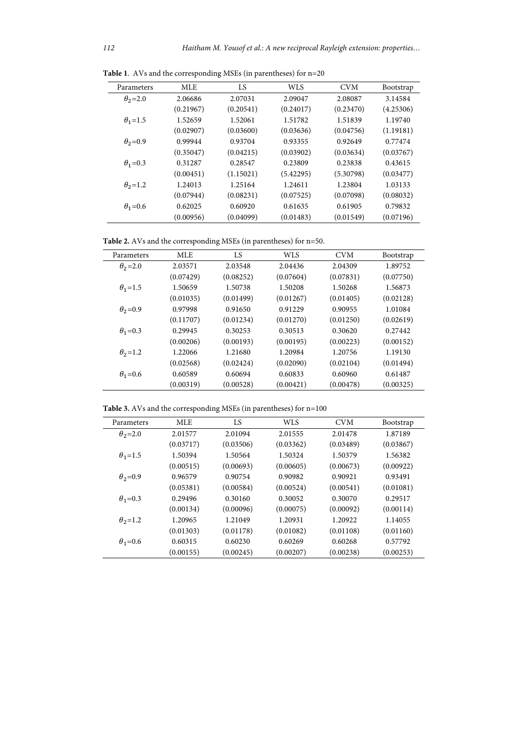| Parameters       | <b>MLE</b> | LS        | <b>WLS</b> | <b>CVM</b> | <b>Bootstrap</b> |
|------------------|------------|-----------|------------|------------|------------------|
| $\theta_2 = 2.0$ | 2.06686    | 2.07031   | 2.09047    | 2.08087    | 3.14584          |
|                  | (0.21967)  | (0.20541) | (0.24017)  | (0.23470)  | (4.25306)        |
| $\theta_1 = 1.5$ | 1.52659    | 1.52061   | 1.51782    | 1.51839    | 1.19740          |
|                  | (0.02907)  | (0.03600) | (0.03636)  | (0.04756)  | (1.19181)        |
| $\theta_2 = 0.9$ | 0.99944    | 0.93704   | 0.93355    | 0.92649    | 0.77474          |
|                  | (0.35047)  | (0.04215) | (0.03902)  | (0.03634)  | (0.03767)        |
| $\theta_1 = 0.3$ | 0.31287    | 0.28547   | 0.23809    | 0.23838    | 0.43615          |
|                  | (0.00451)  | (1.15021) | (5.42295)  | (5.30798)  | (0.03477)        |
| $\theta_2$ =1.2  | 1.24013    | 1.25164   | 1.24611    | 1.23804    | 1.03133          |
|                  | (0.07944)  | (0.08231) | (0.07525)  | (0.07098)  | (0.08032)        |
| $\theta_1 = 0.6$ | 0.62025    | 0.60920   | 0.61635    | 0.61905    | 0.79832          |
|                  | (0.00956)  | (0.04099) | (0.01483)  | (0.01549)  | (0.07196)        |

**Table 1**. AVs and the corresponding MSEs (in parentheses) for n=20

**Table 2.** AVs and the corresponding MSEs (in parentheses) for n=50.

| Parameters       | <b>MLE</b> | LS        | <b>WLS</b> | <b>CVM</b> | <b>Bootstrap</b> |
|------------------|------------|-----------|------------|------------|------------------|
| $\theta_2$ =2.0  | 2.03571    | 2.03548   | 2.04436    | 2.04309    | 1.89752          |
|                  | (0.07429)  | (0.08252) | (0.07604)  | (0.07831)  | (0.07750)        |
| $\theta_1 = 1.5$ | 1.50659    | 1.50738   | 1.50208    | 1.50268    | 1.56873          |
|                  | (0.01035)  | (0.01499) | (0.01267)  | (0.01405)  | (0.02128)        |
| $\theta_2 = 0.9$ | 0.97998    | 0.91650   | 0.91229    | 0.90955    | 1.01084          |
|                  | (0.11707)  | (0.01234) | (0.01270)  | (0.01250)  | (0.02619)        |
| $\theta_1 = 0.3$ | 0.29945    | 0.30253   | 0.30513    | 0.30620    | 0.27442          |
|                  | (0.00206)  | (0.00193) | (0.00195)  | (0.00223)  | (0.00152)        |
| $\theta_2$ =1.2  | 1.22066    | 1.21680   | 1.20984    | 1.20756    | 1.19130          |
|                  | (0.02568)  | (0.02424) | (0.02090)  | (0.02104)  | (0.01494)        |
| $\theta_1 = 0.6$ | 0.60589    | 0.60694   | 0.60833    | 0.60960    | 0.61487          |
|                  | (0.00319)  | (0.00528) | (0.00421)  | (0.00478)  | (0.00325)        |

**Table 3.** AVs and the corresponding MSEs (in parentheses) for n=100

| Parameters       | <b>MLE</b> | LS        | <b>WLS</b> | <b>CVM</b> | <b>Bootstrap</b> |
|------------------|------------|-----------|------------|------------|------------------|
| $\theta_2$ =2.0  | 2.01577    | 2.01094   | 2.01555    | 2.01478    | 1.87189          |
|                  | (0.03717)  | (0.03506) | (0.03362)  | (0.03489)  | (0.03867)        |
| $\theta_1 = 1.5$ | 1.50394    | 1.50564   | 1.50324    | 1.50379    | 1.56382          |
|                  | (0.00515)  | (0.00693) | (0.00605)  | (0.00673)  | (0.00922)        |
| $\theta_2 = 0.9$ | 0.96579    | 0.90754   | 0.90982    | 0.90921    | 0.93491          |
|                  | (0.05381)  | (0.00584) | (0.00524)  | (0.00541)  | (0.01081)        |
| $\theta_1 = 0.3$ | 0.29496    | 0.30160   | 0.30052    | 0.30070    | 0.29517          |
|                  | (0.00134)  | (0.00096) | (0.00075)  | (0.00092)  | (0.00114)        |
| $\theta_2$ =1.2  | 1.20965    | 1.21049   | 1.20931    | 1.20922    | 1.14055          |
|                  | (0.01303)  | (0.01178) | (0.01082)  | (0.01108)  | (0.01160)        |
| $\theta_1 = 0.6$ | 0.60315    | 0.60230   | 0.60269    | 0.60268    | 0.57792          |
|                  | (0.00155)  | (0.00245) | (0.00207)  | (0.00238)  | (0.00253)        |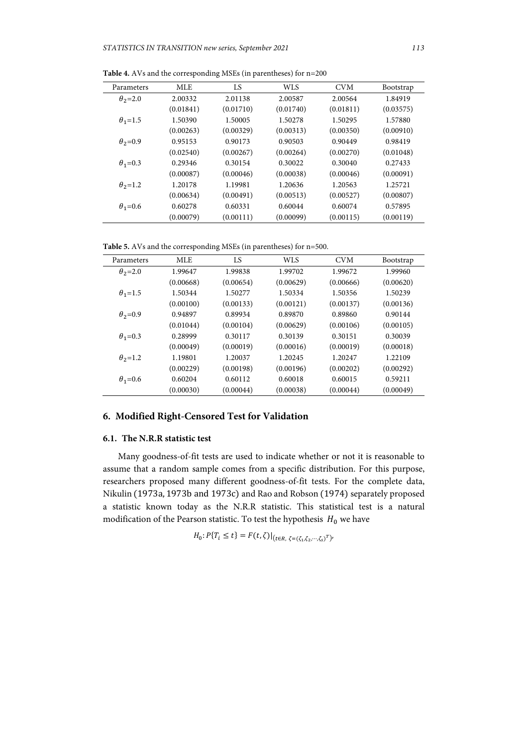| Parameters       | MLE       | LS        | WLS       | <b>CVM</b> | <b>Bootstrap</b> |
|------------------|-----------|-----------|-----------|------------|------------------|
| $\theta_2 = 2.0$ | 2.00332   | 2.01138   | 2.00587   | 2.00564    | 1.84919          |
|                  | (0.01841) | (0.01710) | (0.01740) | (0.01811)  | (0.03575)        |
| $\theta_1 = 1.5$ | 1.50390   | 1.50005   | 1.50278   | 1.50295    | 1.57880          |
|                  | (0.00263) | (0.00329) | (0.00313) | (0.00350)  | (0.00910)        |
| $\theta_2 = 0.9$ | 0.95153   | 0.90173   | 0.90503   | 0.90449    | 0.98419          |
|                  | (0.02540) | (0.00267) | (0.00264) | (0.00270)  | (0.01048)        |
| $\theta_1 = 0.3$ | 0.29346   | 0.30154   | 0.30022   | 0.30040    | 0.27433          |
|                  | (0.00087) | (0.00046) | (0.00038) | (0.00046)  | (0.00091)        |
| $\theta_2$ =1.2  | 1.20178   | 1.19981   | 1.20636   | 1.20563    | 1.25721          |
|                  | (0.00634) | (0.00491) | (0.00513) | (0.00527)  | (0.00807)        |
| $\theta_1 = 0.6$ | 0.60278   | 0.60331   | 0.60044   | 0.60074    | 0.57895          |
|                  | (0.00079) | (0.00111) | (0.00099) | (0.00115)  | (0.00119)        |

**Table 4.** AVs and the corresponding MSEs (in parentheses) for n=200

**Table 5.** AVs and the corresponding MSEs (in parentheses) for n=500.

| Parameters       | <b>MLE</b> | LS        | <b>WLS</b> | <b>CVM</b> | <b>Bootstrap</b> |
|------------------|------------|-----------|------------|------------|------------------|
| $\theta_2$ =2.0  | 1.99647    | 1.99838   | 1.99702    | 1.99672    | 1.99960          |
|                  | (0.00668)  | (0.00654) | (0.00629)  | (0.00666)  | (0.00620)        |
| $\theta_1 = 1.5$ | 1.50344    | 1.50277   | 1.50334    | 1.50356    | 1.50239          |
|                  | (0.00100)  | (0.00133) | (0.00121)  | (0.00137)  | (0.00136)        |
| $\theta_2 = 0.9$ | 0.94897    | 0.89934   | 0.89870    | 0.89860    | 0.90144          |
|                  | (0.01044)  | (0.00104) | (0.00629)  | (0.00106)  | (0.00105)        |
| $\theta_1 = 0.3$ | 0.28999    | 0.30117   | 0.30139    | 0.30151    | 0.30039          |
|                  | (0.00049)  | (0.00019) | (0.00016)  | (0.00019)  | (0.00018)        |
| $\theta_2$ =1.2  | 1.19801    | 1.20037   | 1.20245    | 1.20247    | 1.22109          |
|                  | (0.00229)  | (0.00198) | (0.00196)  | (0.00202)  | (0.00292)        |
| $\theta_1 = 0.6$ | 0.60204    | 0.60112   | 0.60018    | 0.60015    | 0.59211          |
|                  | (0.00030)  | (0.00044) | (0.00038)  | (0.00044)  | (0.00049)        |

# **6. Modified Right-Censored Test for Validation**

## **6.1. The N.R.R statistic test**

Many goodness-of-fit tests are used to indicate whether or not it is reasonable to assume that a random sample comes from a specific distribution. For this purpose, researchers proposed many different goodness-of-fit tests. For the complete data, Nikulin (1973a, 1973b and 1973c) and Rao and Robson (1974) separately proposed a statistic known today as the N.R.R statistic. This statistical test is a natural modification of the Pearson statistic. To test the hypothesis  $H_0$  we have

$$
H_0: P\{T_i \le t\} = F(t,\zeta)|_{(t \in R, \zeta = (\zeta_1,\zeta_2,\cdots,\zeta_s)^T)},
$$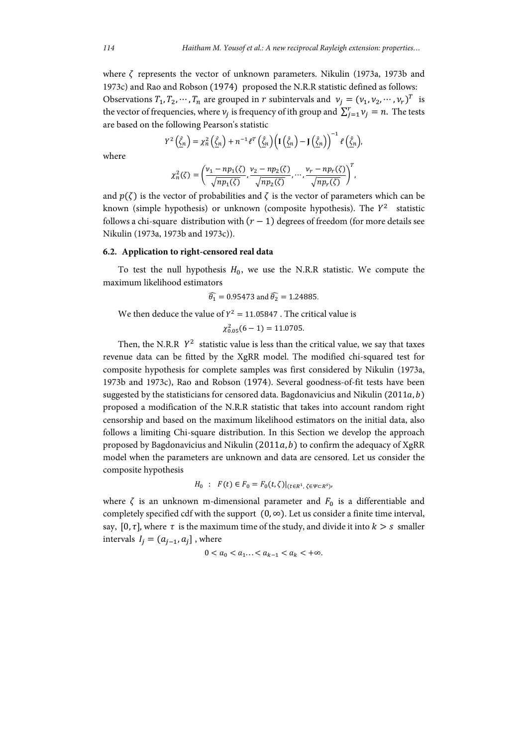where  $\zeta$  represents the vector of unknown parameters. Nikulin (1973a, 1973b and 1973c) and Rao and Robson (1974) proposed the N.R.R statistic defined as follows: Observations  $T_1, T_2, \dots, T_n$  are grouped in  $r$  subintervals and  $v_j = (v_1, v_2, \dots, v_r)^T$  is the vector of frequencies, where  $v_j$  is frequency of ith group and  $\sum_{j=1}^{r} v_j = n$ . The tests are based on the following Pearson's statistic

$$
Y^{2}\left(\underline{\hat{\zeta}}_{n}\right)=\chi_{n}^{2}\left(\underline{\hat{\zeta}}_{n}\right)+n^{-1}\ell^{T}\left(\underline{\hat{\zeta}}_{n}\right)\left(\mathbf{I}\left(\underline{\hat{\zeta}}_{n}\right)-\mathbf{J}\left(\underline{\hat{\zeta}}_{n}\right)\right)^{-1}\ell\left(\underline{\hat{\zeta}}_{n}\right),
$$

where

$$
\chi_n^2(\zeta) = \left(\frac{\nu_1 - np_1(\zeta)}{\sqrt{np_1(\zeta)}}, \frac{\nu_2 - np_2(\zeta)}{\sqrt{np_2(\zeta)}}, \dots, \frac{\nu_r - np_r(\zeta)}{\sqrt{np_r(\zeta)}}\right)^T,
$$

and  $p(\zeta)$  is the vector of probabilities and  $\zeta$  is the vector of parameters which can be known (simple hypothesis) or unknown (composite hypothesis). The  $Y^2$  statistic follows a chi-square distribution with  $(r - 1)$  degrees of freedom (for more details see Nikulin (1973a, 1973b and 1973c)).

#### **6.2. Application to right-censored real data**

To test the null hypothesis  $H_0$ , we use the N.R.R statistic. We compute the maximum likelihood estimators

$$
\widehat{\theta}_1 = 0.95473
$$
 and  $\widehat{\theta}_2 = 1.24885$ .

We then deduce the value of  $Y^2 = 11.05847$  . The critical value is

$$
\chi_{0.05}^2(6-1)=11.0705.
$$

Then, the N.R.R  $Y^2$  statistic value is less than the critical value, we say that taxes revenue data can be fitted by the XgRR model. The modified chi-squared test for composite hypothesis for complete samples was first considered by Nikulin (1973a, 1973b and 1973c), Rao and Robson (1974). Several goodness-of-fit tests have been suggested by the statisticians for censored data. Bagdonavicius and Nikulin  $(2011a, b)$ proposed a modification of the N.R.R statistic that takes into account random right censorship and based on the maximum likelihood estimators on the initial data, also follows a limiting Chi-square distribution. In this Section we develop the approach proposed by Bagdonavicius and Nikulin  $(2011a, b)$  to confirm the adequacy of XgRR model when the parameters are unknown and data are censored. Let us consider the composite hypothesis

$$
H_0 : F(t) \in F_0 = F_0(t, \zeta)|_{(t \in R^1, \zeta \in \Psi \subset R^s)}
$$

where  $\zeta$  is an unknown m-dimensional parameter and  $F_0$  is a differentiable and completely specified cdf with the support  $(0, \infty)$ . Let us consider a finite time interval, say, [0,  $\tau$ ], where  $\tau$  is the maximum time of the study, and divide it into  $k > s$  smaller intervals  $I_i = (a_{i-1}, a_i]$ , where

$$
0 < a_0 < a_1 \dots < a_{k-1} < a_k < +\infty
$$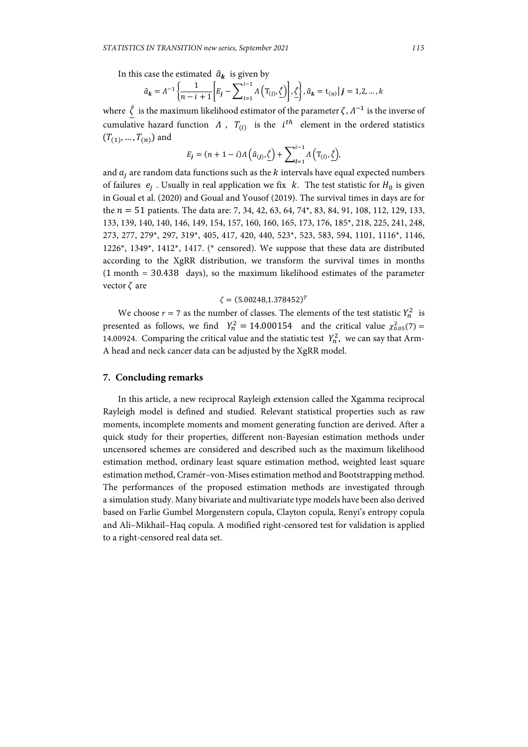In this case the estimated  $\hat{a}_{\bf k}$  is given by

$$
\hat{a}_k = \Lambda^{-1} \left\{ \frac{1}{n - i + 1} \left[ E_j - \sum_{l=1}^{i-1} \Lambda \left( T_{(l)}, \underline{\hat{\zeta}} \right) \right], \underline{\hat{\zeta}} \right\}, \hat{a}_k = t_{(n)} | j = 1, 2, ..., k
$$

where  $\hat{\zeta}$  is the maximum likelihood estimator of the parameter  $\zeta$ ,  $\Lambda^{-1}$  is the inverse of cumulative hazard function  $\Lambda$ ,  $T_{(i)}$  is the  $i^{th}$  element in the ordered statistics  $(T_{(1)},...,T_{(n)})$  and

$$
E_j = (n+1-i) \Lambda \left( \hat{a}_{(j)}, \hat{\zeta} \right) + \sum_{l=1}^{i-1} \Lambda \left( T_{(l)}, \hat{\zeta} \right),
$$

and  $a_i$  are random data functions such as the  $k$  intervals have equal expected numbers of failures  $e_i$ . Usually in real application we fix k. The test statistic for  $H_0$  is given in Goual et al. (2020) and Goual and Yousof (2019). The survival times in days are for the  $n = 51$  patients. The data are: 7, 34, 42, 63, 64, 74\*, 83, 84, 91, 108, 112, 129, 133, 133, 139, 140, 140, 146, 149, 154, 157, 160, 160, 165, 173, 176, 185\*, 218, 225, 241, 248, 273, 277, 279\*, 297, 319\*, 405, 417, 420, 440, 523\*, 523, 583, 594, 1101, 1116\*, 1146, 1226<sup>\*</sup>, 1349<sup>\*</sup>, 1412<sup>\*</sup>, 1417. (\* censored). We suppose that these data are distributed according to the XgRR distribution, we transform the survival times in months (1 month = 30.438 days), so the maximum likelihood estimates of the parameter vector  $\zeta$  are

## $\zeta = (5.00248, 1.378452)^T$

We choose  $r = 7$  as the number of classes. The elements of the test statistic  $Y_n^2$  is presented as follows, we find  $Y_n^2 = 14.000154$  and the critical value  $\chi_{0.05}^2(7) =$ 14.00924. Comparing the critical value and the statistic test  $Y_n^2$ , we can say that Arm-A head and neck cancer data can be adjusted by the XgRR model.

#### **7. Concluding remarks**

In this article, a new reciprocal Rayleigh extension called the Xgamma reciprocal Rayleigh model is defined and studied. Relevant statistical properties such as raw moments, incomplete moments and moment generating function are derived. After a quick study for their properties, different non-Bayesian estimation methods under uncensored schemes are considered and described such as the maximum likelihood estimation method, ordinary least square estimation method, weighted least square estimation method, Cramér–von-Mises estimation method and Bootstrapping method. The performances of the proposed estimation methods are investigated through a simulation study. Many bivariate and multivariate type models have been also derived based on Farlie Gumbel Morgenstern copula, Clayton copula, Renyi's entropy copula and Ali–Mikhail–Haq copula. A modified right-censored test for validation is applied to a right-censored real data set.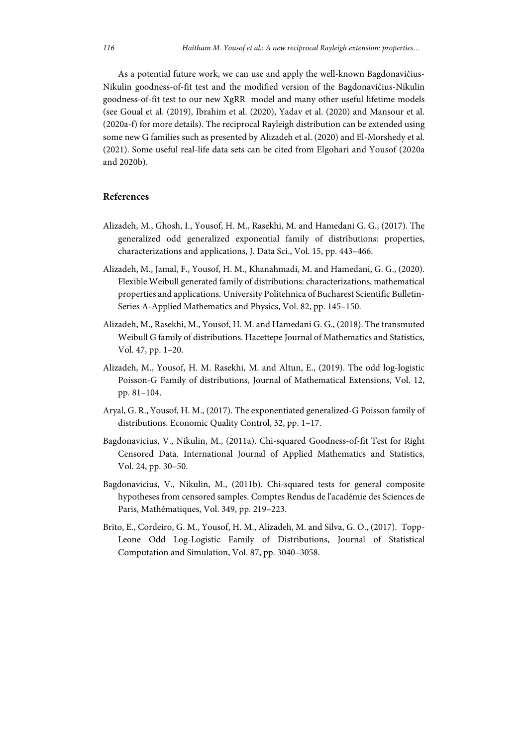As a potential future work, we can use and apply the well-known Bagdonavičius-Nikulin goodness-of-fit test and the modified version of the Bagdonavičius-Nikulin goodness-of-fit test to our new XgRR model and many other useful lifetime models (see Goual et al. (2019), Ibrahim et al. (2020), Yadav et al. (2020) and Mansour et al. (2020a-f) for more details). The reciprocal Rayleigh distribution can be extended using some new G families such as presented by Alizadeh et al. (2020) and El-Morshedy et al. (2021). Some useful real-life data sets can be cited from Elgohari and Yousof (2020a and 2020b).

# **References**

- Alizadeh, M., Ghosh, I., Yousof, H. M., Rasekhi, M. and Hamedani G. G., (2017). The generalized odd generalized exponential family of distributions: properties, characterizations and applications, J. Data Sci., Vol. 15, pp. 443–466.
- Alizadeh, M., Jamal, F., Yousof, H. M., Khanahmadi, M. and Hamedani, G. G., (2020). Flexible Weibull generated family of distributions: characterizations, mathematical properties and applications. University Politehnica of Bucharest Scientific Bulletin-Series A-Applied Mathematics and Physics, Vol. 82, pp. 145–150.
- Alizadeh, M., Rasekhi, M., Yousof, H. M. and Hamedani G. G., (2018). The transmuted Weibull G family of distributions. Hacettepe Journal of Mathematics and Statistics, Vol. 47, pp. 1–20.
- Alizadeh, M., Yousof, H. M. Rasekhi, M. and Altun, E., (2019). The odd log-logistic Poisson-G Family of distributions, Journal of Mathematical Extensions, Vol. 12, pp. 81–104.
- Aryal, G. R., Yousof, H. M., (2017). The exponentiated generalized-G Poisson family of distributions. Economic Quality Control, 32, pp. 1–17.
- Bagdonavicius, V., Nikulin, M., (2011a). Chi-squared Goodness-of-fit Test for Right Censored Data. International Journal of Applied Mathematics and Statistics, Vol. 24, pp. 30–50.
- Bagdonavicius, V., Nikulin, M., (2011b). Chi-squared tests for general composite hypotheses from censored samples. Comptes Rendus de l'académie des Sciences de Paris, Mathématiques, Vol. 349, pp. 219–223.
- Brito, E., Cordeiro, G. M., Yousof, H. M., Alizadeh, M. and Silva, G. O., (2017). Topp-Leone Odd Log-Logistic Family of Distributions, Journal of Statistical Computation and Simulation, Vol. 87, pp. 3040–3058.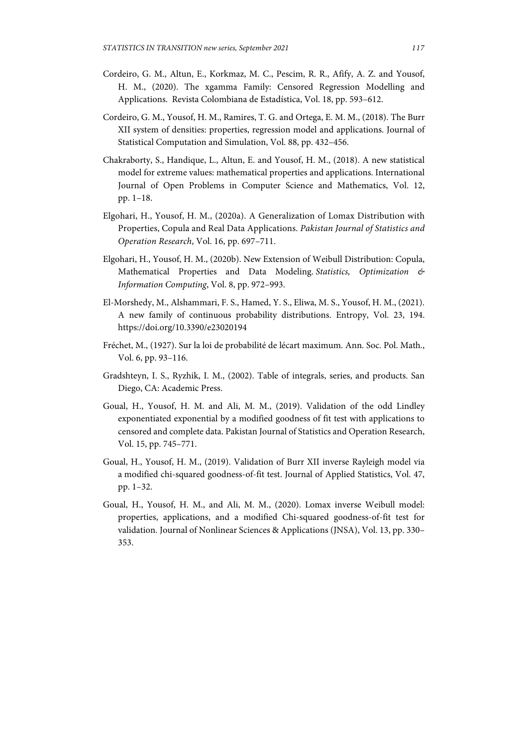- Cordeiro, G. M., Altun, E., Korkmaz, M. C., Pescim, R. R., Afify, A. Z. and Yousof, H. M., (2020). The xgamma Family: Censored Regression Modelling and Applications. Revista Colombiana de Estadística, Vol. 18, pp. 593–612.
- Cordeiro, G. M., Yousof, H. M., Ramires, T. G. and Ortega, E. M. M., (2018). The Burr XII system of densities: properties, regression model and applications. Journal of Statistical Computation and Simulation, Vol. 88, pp. 432–456.
- Chakraborty, S., Handique, L., Altun, E. and Yousof, H. M., (2018). A new statistical model for extreme values: mathematical properties and applications. International Journal of Open Problems in Computer Science and Mathematics, Vol. 12, pp. 1–18.
- Elgohari, H., Yousof, H. M., (2020a). A Generalization of Lomax Distribution with Properties, Copula and Real Data Applications. *Pakistan Journal of Statistics and Operation Research*, Vol. 16, pp. 697–711.
- Elgohari, H., Yousof, H. M., (2020b). New Extension of Weibull Distribution: Copula, Mathematical Properties and Data Modeling. *Statistics, Optimization & Information Computing*, Vol. 8, pp. 972–993.
- El-Morshedy, M., Alshammari, F. S., Hamed, Y. S., Eliwa, M. S., Yousof, H. M., (2021). A new family of continuous probability distributions. Entropy, Vol. 23, 194. https://doi.org/10.3390/e23020194
- Fréchet, M., (1927). Sur la loi de probabilité de lécart maximum. Ann. Soc. Pol. Math., Vol. 6, pp. 93–116.
- Gradshteyn, I. S., Ryzhik, I. M., (2002). Table of integrals, series, and products. San Diego, CA: Academic Press.
- Goual, H., Yousof, H. M. and Ali, M. M., (2019). Validation of the odd Lindley exponentiated exponential by a modified goodness of fit test with applications to censored and complete data. Pakistan Journal of Statistics and Operation Research, Vol. 15, pp. 745–771.
- Goual, H., Yousof, H. M., (2019). Validation of Burr XII inverse Rayleigh model via a modified chi-squared goodness-of-fit test. Journal of Applied Statistics, Vol. 47, pp. 1–32.
- Goual, H., Yousof, H. M., and Ali, M. M., (2020). Lomax inverse Weibull model: properties, applications, and a modified Chi-squared goodness-of-fit test for validation. Journal of Nonlinear Sciences & Applications (JNSA), Vol. 13, pp. 330– 353.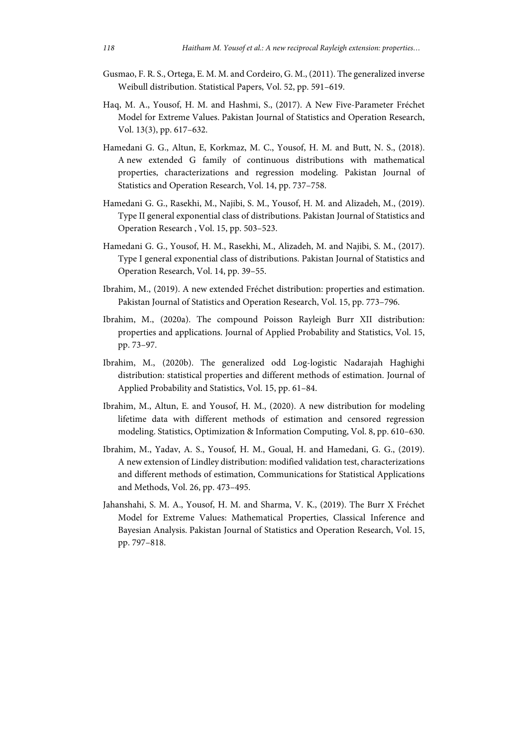- Gusmao, F. R. S., Ortega, E. M. M. and Cordeiro, G. M., (2011). The generalized inverse Weibull distribution. Statistical Papers, Vol. 52, pp. 591–619.
- Haq, M. A., Yousof, H. M. and Hashmi, S., (2017). A New Five-Parameter Fréchet Model for Extreme Values. Pakistan Journal of Statistics and Operation Research, Vol. 13(3), pp. 617–632.
- Hamedani G. G., Altun, E, Korkmaz, M. C., Yousof, H. M. and Butt, N. S., (2018). A new extended G family of continuous distributions with mathematical properties, characterizations and regression modeling. Pakistan Journal of Statistics and Operation Research, Vol. 14, pp. 737–758.
- Hamedani G. G., Rasekhi, M., Najibi, S. M., Yousof, H. M. and Alizadeh, M., (2019). Type II general exponential class of distributions. Pakistan Journal of Statistics and Operation Research , Vol. 15, pp. 503–523.
- Hamedani G. G., Yousof, H. M., Rasekhi, M., Alizadeh, M. and Najibi, S. M., (2017). Type I general exponential class of distributions. Pakistan Journal of Statistics and Operation Research, Vol. 14, pp. 39–55.
- Ibrahim, M., (2019). A new extended Fréchet distribution: properties and estimation. Pakistan Journal of Statistics and Operation Research, Vol. 15, pp. 773–796.
- Ibrahim, M., (2020a). The compound Poisson Rayleigh Burr XII distribution: properties and applications. Journal of Applied Probability and Statistics, Vol. 15, pp. 73–97.
- Ibrahim, M., (2020b). The generalized odd Log-logistic Nadarajah Haghighi distribution: statistical properties and different methods of estimation. Journal of Applied Probability and Statistics, Vol. 15, pp. 61–84.
- Ibrahim, M., Altun, E. and Yousof, H. M., (2020). A new distribution for modeling lifetime data with different methods of estimation and censored regression modeling. Statistics, Optimization & Information Computing, Vol. 8, pp. 610–630.
- Ibrahim, M., Yadav, A. S., Yousof, H. M., Goual, H. and Hamedani, G. G., (2019). A new extension of Lindley distribution: modified validation test, characterizations and different methods of estimation, Communications for Statistical Applications and Methods, Vol. 26, pp. 473–495.
- Jahanshahi, S. M. A., Yousof, H. M. and Sharma, V. K., (2019). The Burr X Fréchet Model for Extreme Values: Mathematical Properties, Classical Inference and Bayesian Analysis. Pakistan Journal of Statistics and Operation Research, Vol. 15, pp. 797–818.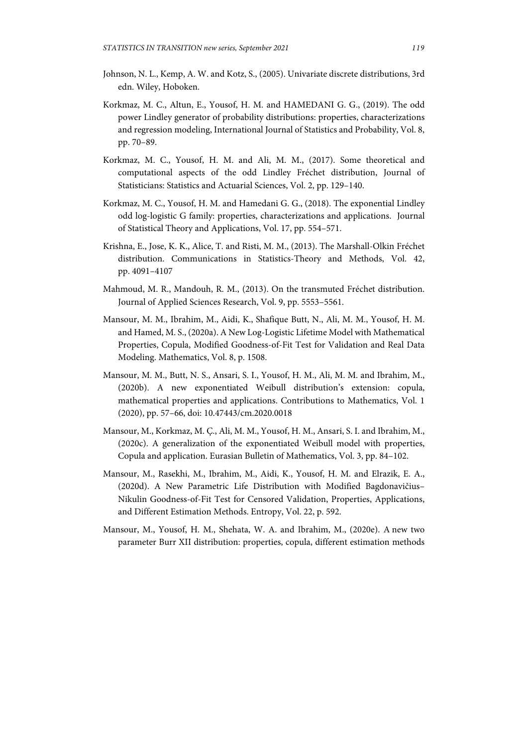- Johnson, N. L., Kemp, A. W. and Kotz, S., (2005). Univariate discrete distributions, 3rd edn. Wiley, Hoboken.
- Korkmaz, M. C., Altun, E., Yousof, H. M. and HAMEDANI G. G., (2019). The odd power Lindley generator of probability distributions: properties, characterizations and regression modeling, International Journal of Statistics and Probability, Vol. 8, pp. 70–89.
- Korkmaz, M. C., Yousof, H. M. and Ali, M. M., (2017). Some theoretical and computational aspects of the odd Lindley Fréchet distribution, Journal of Statisticians: Statistics and Actuarial Sciences, Vol. 2, pp. 129–140.
- Korkmaz, M. C., Yousof, H. M. and Hamedani G. G., (2018). The exponential Lindley odd log-logistic G family: properties, characterizations and applications. Journal of Statistical Theory and Applications, Vol. 17, pp. 554–571.
- Krishna, E., Jose, K. K., Alice, T. and Risti, M. M., (2013). The Marshall-Olkin Fréchet distribution. Communications in Statistics-Theory and Methods, Vol. 42, pp. 4091–4107
- Mahmoud, M. R., Mandouh, R. M., (2013). On the transmuted Fréchet distribution. Journal of Applied Sciences Research, Vol. 9, pp. 5553–5561.
- Mansour, M. M., Ibrahim, M., Aidi, K., Shafique Butt, N., Ali, M. M., Yousof, H. M. and Hamed, M. S., (2020a). A New Log-Logistic Lifetime Model with Mathematical Properties, Copula, Modified Goodness-of-Fit Test for Validation and Real Data Modeling. Mathematics, Vol. 8, p. 1508.
- Mansour, M. M., Butt, N. S., Ansari, S. I., Yousof, H. M., Ali, M. M. and Ibrahim, M., (2020b). A new exponentiated Weibull distribution's extension: copula, mathematical properties and applications. Contributions to Mathematics, Vol. 1 (2020), pp. 57–66, doi: 10.47443/cm.2020.0018
- Mansour, M., Korkmaz, M. Ç., Ali, M. M., Yousof, H. M., Ansari, S. I. and Ibrahim, M., (2020c). A generalization of the exponentiated Weibull model with properties, Copula and application. Eurasian Bulletin of Mathematics, Vol. 3, pp. 84–102.
- Mansour, M., Rasekhi, M., Ibrahim, M., Aidi, K., Yousof, H. M. and Elrazik, E. A., (2020d). A New Parametric Life Distribution with Modified Bagdonavičius– Nikulin Goodness-of-Fit Test for Censored Validation, Properties, Applications, and Different Estimation Methods. Entropy, Vol. 22, p. 592.
- Mansour, M., Yousof, H. M., Shehata, W. A. and Ibrahim, M., (2020e). A new two parameter Burr XII distribution: properties, copula, different estimation methods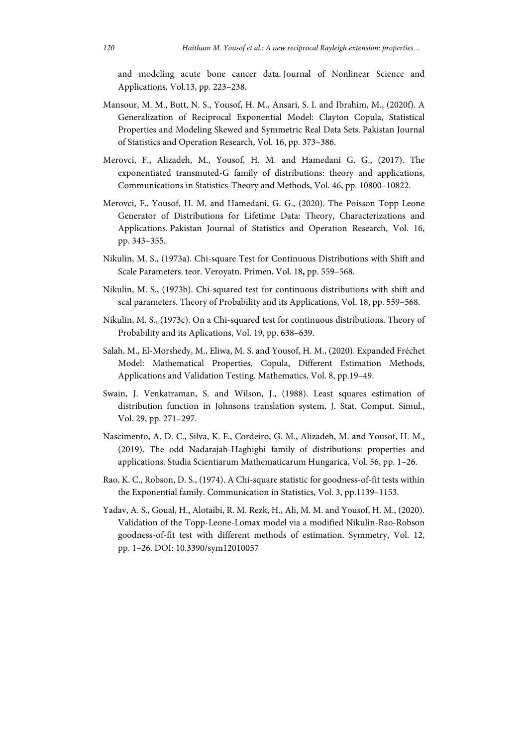and modeling acute bone cancer data. Journal of Nonlinear Science and Applications*,* Vol.13, pp. 223–238.

- Mansour, M. M., Butt, N. S., Yousof, H. M., Ansari, S. I. and Ibrahim, M., (2020f). A Generalization of Reciprocal Exponential Model: Clayton Copula, Statistical Properties and Modeling Skewed and Symmetric Real Data Sets. Pakistan Journal of Statistics and Operation Research, Vol. 16, pp. 373–386.
- Merovci, F., Alizadeh, M., Yousof, H. M. and Hamedani G. G., (2017). The exponentiated transmuted-G family of distributions: theory and applications, Communications in Statistics-Theory and Methods, Vol. 46, pp. 10800–10822.
- Merovci, F., Yousof, H. M. and Hamedani, G. G., (2020). The Poisson Topp Leone Generator of Distributions for Lifetime Data: Theory, Characterizations and Applications. Pakistan Journal of Statistics and Operation Research, Vol. 16, pp. 343–355.
- Nikulin, M. S., (1973a). Chi-square Test for Continuous Distributions with Shift and Scale Parameters. teor. Veroyatn. Primen, Vol. 18**,** pp. 559–568.
- Nikulin, M. S., (1973b). Chi-squared test for continuous distributions with shift and scal parameters. Theory of Probability and its Applications, Vol. 18, pp. 559–568.
- Nikulin, M. S., (1973c). On a Chi-squared test for continuous distributions. Theory of Probability and its Aplications, Vol. 19, pp. 638–639.
- Salah, M., El-Morshedy, M., Eliwa, M. S. and Yousof, H. M., (2020). Expanded Fréchet Model: Mathematical Properties, Copula, Different Estimation Methods, Applications and Validation Testing. Mathematics, Vol. 8, pp.19–49.
- Swain, J. Venkatraman, S. and Wilson, J., (1988). Least squares estimation of distribution function in Johnsons translation system, J. Stat. Comput. Simul., Vol. 29, pp. 271–297.
- Nascimento, A. D. C., Silva, K. F., Cordeiro, G. M., Alizadeh, M. and Yousof, H. M., (2019). The odd Nadarajah-Haghighi family of distributions: properties and applications. Studia Scientiarum Mathematicarum Hungarica, Vol. 56, pp. 1–26.
- Rao, K. C., Robson, D. S., (1974). A Chi-square statistic for goodness-of-fit tests within the Exponential family. Communication in Statistics, Vol. 3, pp.1139–1153.
- Yadav, A. S., Goual, H., Alotaibi, R. M. Rezk, H., Ali, M. M. and Yousof, H. M., (2020). Validation of the Topp-Leone-Lomax model via a modified Nikulin-Rao-Robson goodness-of-fit test with different methods of estimation. Symmetry, Vol. 12, pp. 1–26. DOI: 10.3390/sym12010057